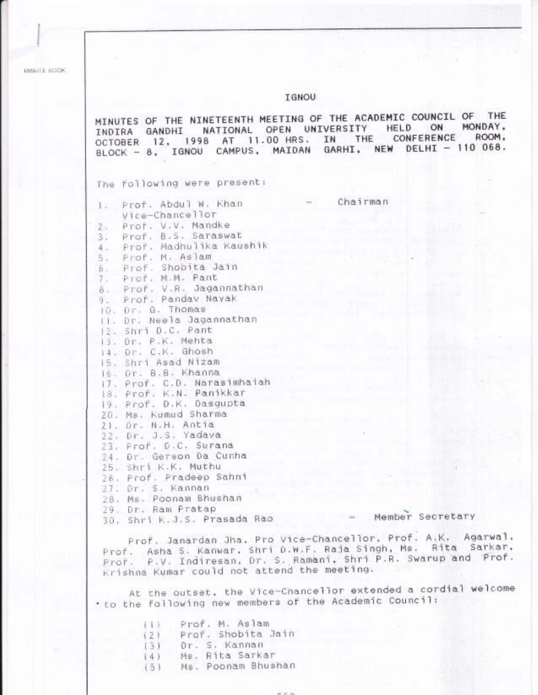MINUTE ECOK

# **IGNOU**

MINUTES OF THE NINETEENTH MEETING OF THE ACADEMIC COUNCIL OF THE INDIRA GANDHI NATIONAL OPEN UNIVERSITY HELD ON MONDAY,<br>OCTOBER 12, 1998 AT 11.00 HRS. IN THE CONFERENCE ROOM,<br>BLOCK - 8, IGNOU CAMPUS, MAIDAN GARHI, NEW DELHI - 110 068. The following were present:

Chairman

|    | 1. Prof. Abdul W. Khan      |
|----|-----------------------------|
|    | Vice-Chancellor             |
|    | 2. Prof. V.V. Mandke        |
| 3. | Prof. B.S. Saraswat         |
|    | 4. Prof. Madhulika Kaushik  |
|    | 5. Prof. M. Aslam           |
|    | 6. Prof. Shobita Jain       |
|    | 7. Prof. M.M. Pant          |
|    | 8. Prof. V.R. Jagannathan   |
|    | 9. Prof. Pandav Nayak       |
|    | ID. Dr. G. Thomas           |
|    | 11. Dr. Neela Jagannathan   |
|    | 12. Shri D.C. Pant          |
|    | 13. Dr. P.K. Mehta          |
|    | 14. Dr. C.K. Ghosh          |
|    | 15. Shri Asad Nizam         |
|    | 16. Dr. B.B. Khanna         |
|    | 17. Prof. C.D. Narasimhaiah |
|    | 18. Prof. K.N. Panikkar     |
|    | 19. Prof. D.K. Dasgupta     |
|    | 20. Ms. Kumud Sharma        |
|    | 21. Dr. N.H. Antia          |
|    | 22. Dr. J.S. Yadava         |
|    | 23. Prof. D.C. Surana       |
|    | 24. Dr. Gerson Da Cunha     |
|    | 25. Shri K.K. Muthu         |
|    | 26. Prof. Pradeep Sahni     |
|    | 27. Dr. S. Kannan           |
|    | 28. Ms. Poonam Bhushan      |
|    | 29. Dr. Ram Pratap          |
|    | 30. Shri K.J.S. Prasada Rac |

- Member Secretary

Prof. Janardan Jha. Pro Vice-Chancellor. Prof. A.K. Agarwal.<br>Prof. Asha S. Kanwar. Shri D.W.F. Raja Singh, Ms. Rita Sarkar. Prof. P.V. Indiresan, Dr. S. Ramani, Shri P.R. Swarup and Prof. Krishna Kumar could not attend the meeting.

At the outset, the Vice-Chancellor extended a cordial welcome . to the following new members of the Academic Council:

| 1.1.7. | Prof. M. Aslam     |
|--------|--------------------|
| (7)    | Prof. Shobita Jain |
| 131    | Or. S. Kannan      |
| (4)    | Ms. Rita Sarkar    |
| (5)    | Ms. Poonam Bhushan |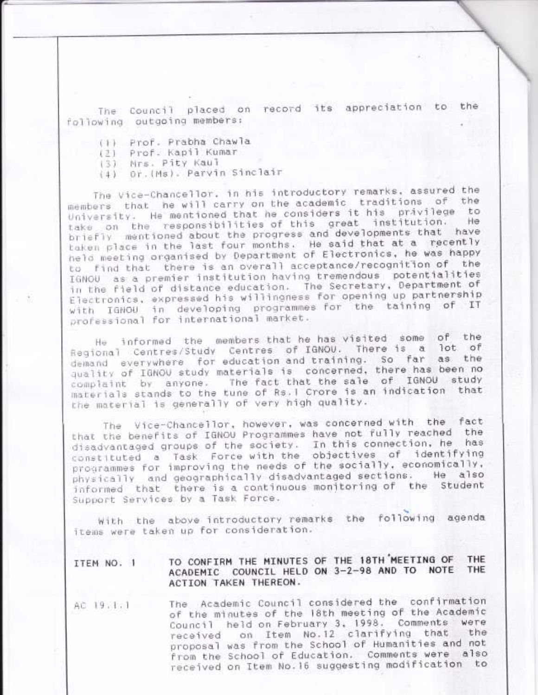The Council placed on record its appreciation to the following outgoing members:

- (1) Prof. Prabha Chawla
- Prof. Kapil Kumar  $(2)$
- (3) Mrs. Pity Kaul
- (4) Or. (Ms). Parvin Sinclair

The Vice-Chancellor, in his introductory remarks, assured the members that he will carry on the academic traditions of the University. He mentioned that he considers it his privilege to take on the responsibilities of this great institution. He briefly mentioned about the progress and developments that have taken place in the last four months. He said that at a recently held meeting organised by Department of Electronics, he was happy to find that there is an overall acceptance/recognition of the IGNOU as a premier institution having tremendous potentialities in the field of distance education. The Secretary, Department of Electronics, expressed his willingness for opening up partnership with IGNOU in developing programmes for the taining of IT professional for international market.

He informed the members that he has visited some of the Regional Centres/Study Centres of IGNOU. There is a lot of demand everywhere for education and training. So far as the quality of IGNOU study materials is concerned, there has been no The fact that the sale of IGNOU study complaint by anyone. materials stands to the tune of Rs. I Crore is an indication that the material is generally of very high quality.

The Vice-Chancellor, however, was concerned with the fact that the benefits of IGNOU Programmes have not fully reached the disadvantaged groups of the society. In this connection, he has constituted a Task Force with the objectives of identifying programmes for improving the needs of the socially, economically, physically and geographically disadvantaged sections. He also informed that there is a continuous monitoring of the Student Support Services by a Task Force.

with the above introductory remarks the following agenda items were taken up for consideration.

#### TO CONFIRM THE MINUTES OF THE 18TH MEETING OF THE ITEM NO. 1 ACADEMIC COUNCIL HELD ON 3-2-98 AND TO NOTE THE ACTION TAKEN THEREON.

The Academic Council considered the confirmation AC 19.1.1 of the minutes of the 18th meeting of the Academic Council held on February 3, 1998. Comments were on Item No.12 clarifying that the received proposal was from the School of Humanities and not from the School of Education. Comments were also received on Item No.16 suggesting modification to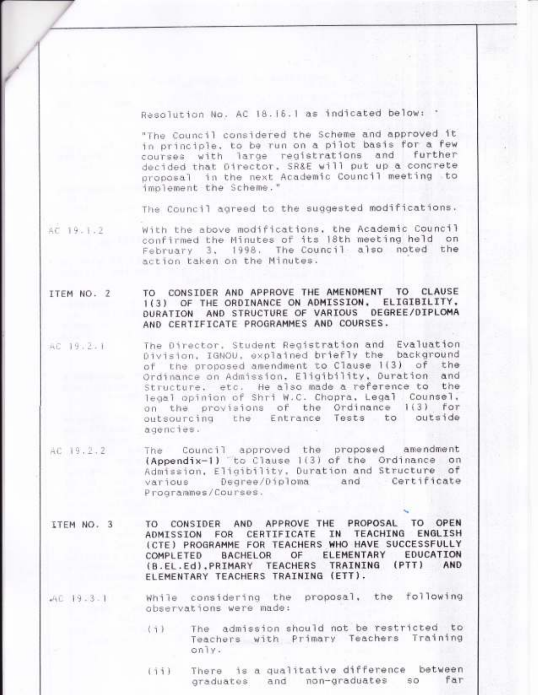Resolution No. AC 18.16.1 as indicated below: '

"The Council considered the Scheme and approved it in principle, to be run on a pilot basis for a few courses with large registrations and further decided that Director. SR&E will put up a concrete proposal in the next Academic Council meeting to implement the Scheme."

The Council agreed to the suggested modifications.

AC 19-1-2 With the above modifications, the Academic Council confirmed the Minutes of its 18th meeting held on February 3, 1998. The Council also noted the action taken on the Minutes.

### CONSIDER AND APPROVE THE AMENDMENT TO CLAUSE TO ITEM NO. 2 1(3) OF THE ORDINANCE ON ADMISSION, ELIGIBILITY, DURATION AND STRUCTURE OF VARIOUS DEGREE/DIPLOMA AND CERTIFICATE PROGRAMMES AND COURSES.

- The Director, Student Registration and Evaluation AC 19:2:1 Division, IGNOU, explained briefly the background of the proposed amendment to Clause 1(3) of the Ordinance on Admission, Eligibility, Duration and Structure, etc. He also made a reference to the legal opinion of Shri W.C. Chopra, Legal Counsel, on the provisions of the Ordinance  $1(3)$  for outsourcing the Entrance Tests to outside agencies.
- The Council approved the proposed amendment<br>(Appendix-1) to Clause 1(3) of the Ordinance on AC 19.2.2 The Admission, Eligibility, Duration and Structure of and Certificate various Degree/Diploma Programmes/Courses.
- TO CONSIDER AND APPROVE THE PROPOSAL TO OPEN ITEM NO. 3 IN TEACHING ENGLISH ADMISSION FOR CERTIFICATE (CTE) PROGRAMME FOR TEACHERS WHO HAVE SUCCESSFULLY **BACHELOR** OF ELEMENTARY EDUCATION COMPLETED (B.EL.Ed), PRIMARY TEACHERS TRAINING  $(PTT)$ AND ELEMENTARY TEACHERS TRAINING (ETT).
- While considering the proposal, the following  $AC$  19.3.1 observations were made:
	- The admission should not be restricted to  $(7)$ Teachers with Primary Teachers Training  $only.$
	- There is a qualitative difference between  $(11)$ far  $SO$ graduates and non-graduates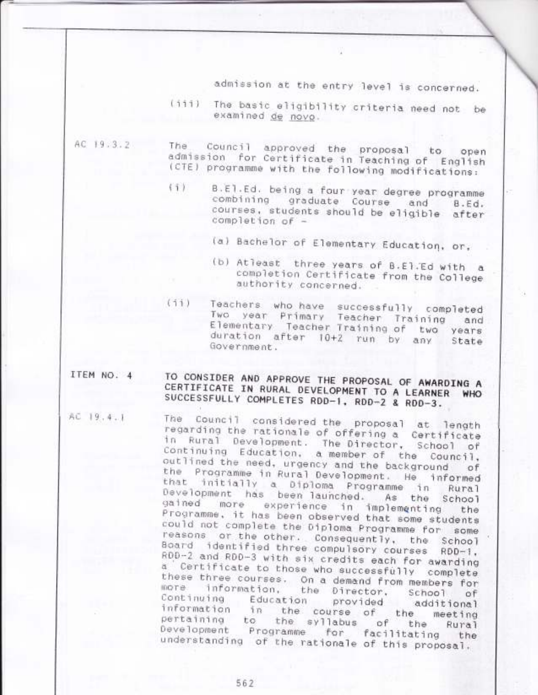admission at the entry level is concerned.

(iii) The basic eligibility criteria need not be examined de novo.

AC 19.3.2

- Council approved the proposal to open The admission for Certificate in Teaching of English (CTE) programme with the following modifications:
	- B.El.Ed. being a four year degree programme  $(1)$ combining graduate Course and B.Ed. courses, students should be eligible after completion of -
		- (a) Bachelor of Elementary Education, or,
		- (b) Atleast three years of B.El.Ed with a completion Certificate from the College authority concerned.
- $(11)$ Teachers who have successfully completed Two year Primary Teacher Training and Elementary Teacher Training of two years duration after 10+2 run by any State Government.

## TO CONSIDER AND APPROVE THE PROPOSAL OF AWARDING A ITEM NO. 4 CERTIFICATE IN RURAL DEVELOPMENT TO A LEARNER WHO SUCCESSFULLY COMPLETES RDD-1, RDD-2 & RDD-3.

AC 19.4.1

The Council considered the proposal at length regarding the rationale of offering a Certificate in Rural Development. The Director, School of Continuing Education, a member of the Council, outlined the need, urgency and the background of the Programme in Rural Development. He informed<br>that initially a Diploma Programme in Rural Development has been launched. As the School gained more experience in implementing the Programme, it has been observed that some students could not complete the Diploma Programme for some reasons or the other. Consequently, the School Board identified three compulsory courses RDD-1, RDD-2 and RDD-3 with six credits each for awarding a Certificate to those who successfully complete these three courses. On a demand from members for information, more. the Director, School  $oF$ Continuing Education provided additional information the course of the meeting in pertaining to the syllabus of the Rural<br>Development Programme for facilitating the understanding of the rationale of this proposal.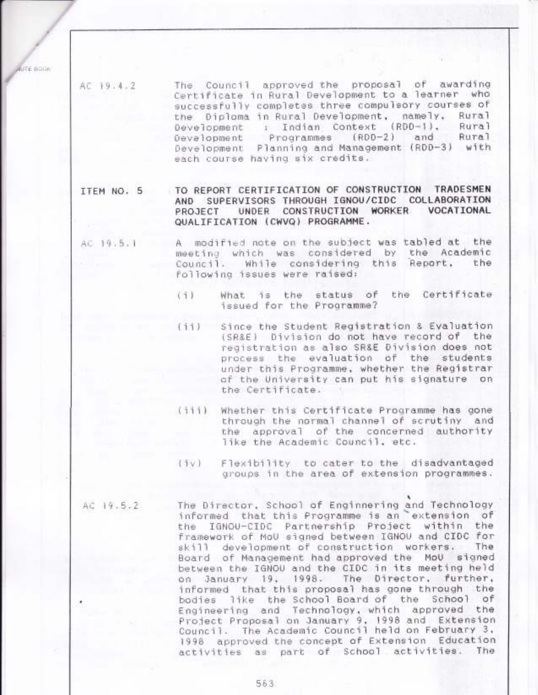ITE BOOK

The Council approved the proposal of awarding AC 19.4.2 Certificate in Rural Development to a learner who successfully completes three compulsory courses of the Diploma in Rural Development, namely, Rura<sub>l</sub> Development : Indian Context (RDD-1), Rural and Rural Development Programmes (RDD-2) Development Planning and Management (RDD-3) with each course having six credits.

TO REPORT CERTIFICATION OF CONSTRUCTION TRADESMEN ITEM NO. 5 AND SUPERVISORS THROUGH IGNOU/CIDC COLLABORATION UNDER CONSTRUCTION WORKER VOCATIONAL PROJECT QUALIFICATION (CWVQ) PROGRAMME.

- A modified note on the subject was tabled at the AC 19.5.1 meeting which was considered by the Academic Council. While considering this Report. the following issues were raised:
	- What is the status of the Certificate  $(1)$ issued for the Programme?
	- Since the Student Registration & Evaluation  $(11)$ (SR&E) Division do not have record of the registration as also SR&E Division does not process the evaluation of the students under this Programme, whether the Registrar of the University can put his signature on the Certificate.
	- (iii) Whether this Certificate Programme has gone through the normal channel of scrutiny and the approval of the concerned authority like the Academic Council, etc.
	- Flexibility to cater to the disadvantaged  $(iv)$ groups in the area of extension programmes.

AC 19.5.2

The Director, School of Enginnering and Technology informed that this Programme is an extension of the IGNOU-CIDC Partnership Project within the framework of MoU signed between IGNOU and CIDC for skill development of construction workers. The Board of Management had approved the MoU signed between the IGNOU and the CIDC in its meeting held on January 19, 1998. The Director, further, informed that this proposal has gone through the bodies like the School Board of the School of Engineering and Technology, which approved the Project Proposal on January 9, 1998 and Extension Council. The Academic Council held on February 3. 1998 approved the concept of Extension Education activities as part of School activities. The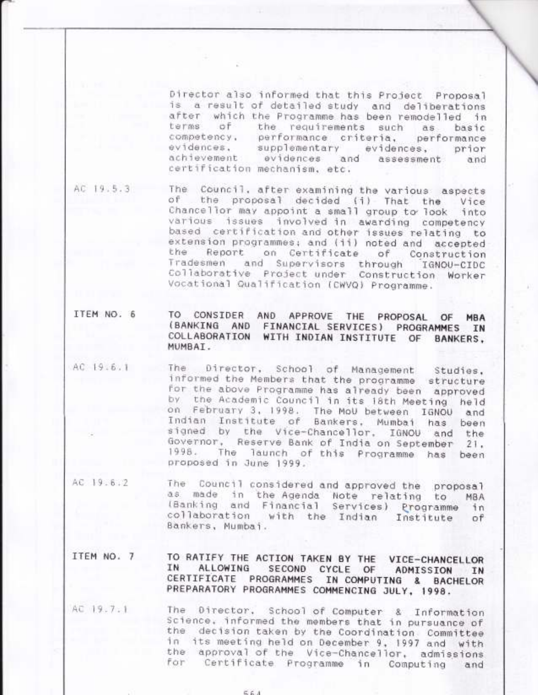Director also informed that this Project Proposal is a result of detailed study and deliberations after which the Programme has been remodelled in terms of the requirements such as basic competency, performance criteria, performance evidences. supplementary evidences, prior achievement evidences and assessment and certification mechanism, etc.

AC 19.5.3

The Council, after examining the various aspects of the proposal decided (i) That the Vice Chancellor may appoint a small group to look into various issues involved in awarding competency based certification and other issues relating to extension programmes; and (ii) noted and accepted the on Certificate of Construction Report Tradesmen and Supervisors through IGNOU-CIDC Collaborative Project under Construction Worker Vocational Qualification (CWVQ) Programme.

### ITEM NO. 6 TO CONSIDER AND APPROVE THE PROPOSAL OF **MBA** (BANKING AND FINANCIAL SERVICES) PROGRAMMES IN COLLABORATION WITH INDIAN INSTITUTE OF BANKERS, MUMBAI.

- AC 19.6.1 The Director, School of Management Studies. informed the Members that the programme structure for the above Programme has already been approved the Academic Council in its 18th Meeting bv: held on February 3, 1998. The MoU between IGNOU and Indian Institute of Bankers, Mumbai has been signed by the Vice-Chancellor, IGNOU and the Governor, Reserve Bank of India on September 21, 1998. The launch of this Programme has been proposed in June 1999.
- AC 19.6.2 The Council considered and approved the proposal as made in the Agenda Note relating to **MBA** (Banking and Financial Services) Programme  $in$ collaboration with the Indian Institute οf Bankers, Mumbai.

#### ITEM NO. 7 TO RATIFY THE ACTION TAKEN BY THE VICE-CHANCELLOR IN ALLOWING SECOND CYCLE OF ADMISSION IN CERTIFICATE PROGRAMMES IN COMPUTING & BACHELOR PREPARATORY PROGRAMMES COMMENCING JULY, 1998.

AC 19.7.1 The Director, School of Computer & Information Science, informed the members that in pursuance of the decision taken by the Coordination Committee in its meeting held on December 9, 1997 and with the approval of the Vice-Chancellor, admissions for Certificate Programme in Computing and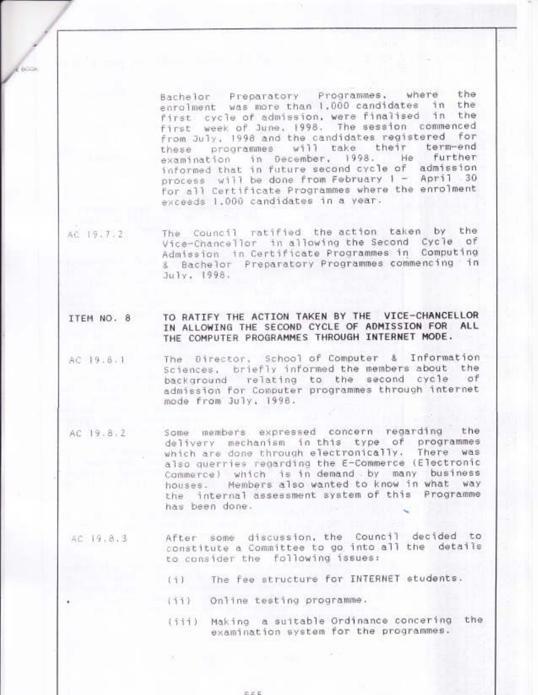Bachelor Preparatory Programmes, where the enrolment was more than 1.000 candidates in the first cycle of admission, were finalised in the. first week of June, 1998. The session commenced from July, 1998 and the candidates registered for programmes will take their term-end<br>ation in December, 1998. He further these examination informed that in future second cycle of admission process will be done from February 1 - April 30 for all Certificate Programmes where the enrolment exceeds 1.000 candidates in a year.

The Council ratified the action taken by the AC 19.7.2 Vice-Chancellor in allowing the Second Cycle of Admission in Certificate Programmes in Computing & Bachelor Preparatory Programmes commencing in July, 1998.

BODA

TO RATIFY THE ACTION TAKEN BY THE VICE-CHANCELLOR ITEM NO. 8 IN ALLOWING THE SECOND CYCLE OF ADMISSION FOR ALL THE COMPUTER PROGRAMMES THROUGH INTERNET MODE.

- The Director, School of Computer & Information AC 19.8.1 Sciences, briefly informed the members about the background relating to the second cycle  $\sigma$ f admission for Computer programmes through internet mode from July, 1998.
- Some members expressed concern regarding the AC 19.8.2 delivery mechanism in this type of programmes which are done through electronically. There was also querries regarding the E-Commerce (Electronic Commerce) which is in demand by many business houses. Members also wanted to know in what way the internal assessment system of this Programme has been done.
	- After some discussion, the Council decided to AC 19.8.3 constitute a Committee to go into all the details to consider the following issues:
		- The fee structure for INTERNET students.  $(1)$
		- $(11)$ Online testing programme.
		- (iii) Making a suitable Ordinance concering the examination system for the programmes.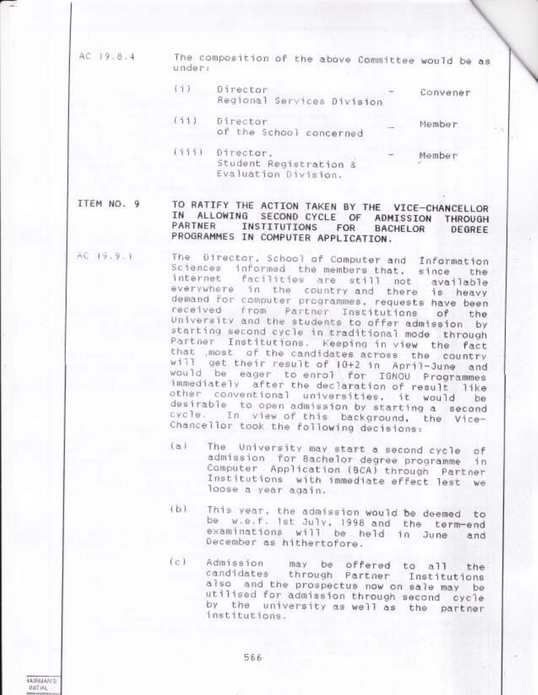AC 19.8.4

The composition of the above Committee would be as under:

- $(1)$ Director Convener Regional Services Division
- $(11)$ Director Member of the School concerned
- (iii) Director, Member Student Registration & Evaluation Division.

ITEM NO. 9

**JANGALANC** *BAFFIAL* 

### TO RATIFY THE ACTION TAKEN BY THE VICE-CHANCELLOR IN ALLOWING SECOND CYCLE OF ADMISSION THROUGH PARTNER INSTITUTIONS FOR BACHELOR DEGREE PROGRAMMES IN COMPUTER APPLICATION.

- The Director, School of Computer and Information AC 19.9.1 Sciences informed the members that, since the internet facilities are still not available everywhere in the country and there is heavy demand for computer programmes, requests have been received from Partner Institutions of the<br>University and the students to offer admission by starting second cycle in traditional mode through Partner Institutions. Keeping in view the fact that most of the candidates across the country will get their result of 10+2 in April-June and would be eager to enrol for IGNOU Programmes immediately after the declaration of result like other conventional universities, it would be desirable to open admission by starting a second cycle. In view of this background, the Vice-Chancellor took the following decisions:
	- The University may start a second cycle of  $(a)$ admission for Bachelor degree programme in Computer Application (BCA) through Partner Institutions with immediate effect lest we loose a year again.
	- This year, the admission would be deemed to  $(b)$ be w.e.f. ist July, 1998 and the term-end examinations will be held in June and December as hithertofore.
	- $(c)$ Admission may be offered to all the through Partner Institutions candidates also and the prospectus now on sale may be utilised for admission through second cycle by the university as well as the partner institutions.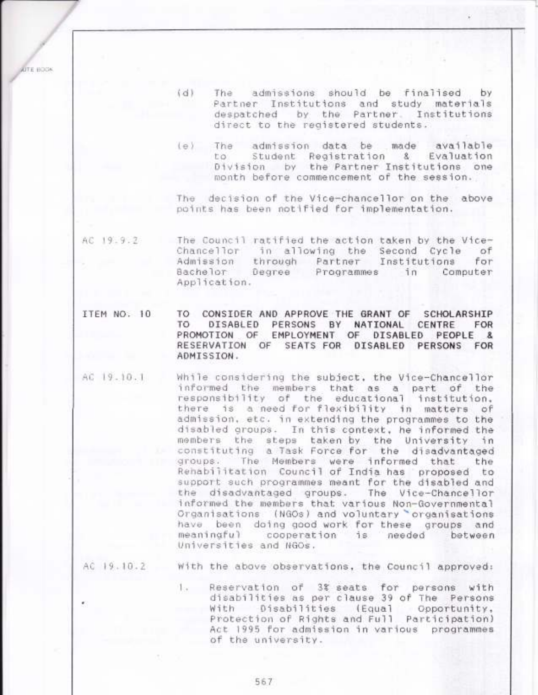UTE BOOK

- $(d)$ admissions should be finalised The by Partner Institutions and study materials despatched by the Partner. Institutions direct to the registered students.
- The admission data be made available  $(e)$ Student Registration & Evaluation ha. Division by the Partner Institutions one month before commencement of the session.

The decision of the Vice-chancellor on the above points has been notified for implementation.

AC 19.9.2 The Council ratified the action taken by the Vice-Chancellor in allowing the Second Cycle of Admission through Partner Institutions for Bachelor Degree Programmes  $in$ Computer Application.

- ITEM NO. 10 TO CONSIDER AND APPROVE THE GRANT OF SCHOLARSHIP TO. DISABLED PERSONS BY NATIONAL CENTRE FOR PROMOTION OF EMPLOYMENT OF PEOPLE & **DISABLED** RESERVATION OF SEATS FOR DISABLED PERSONS FOR ADMISSION.
- AC 19.10.1 While considering the subject, the Vice-Chancellor informed the members that as a part of the responsibility of the educational institution. is a need for flexibility in matters of there admission, etc. in extending the programmes to the disabled groups. In this context, he informed the members the steps taken by the University in constituting a Task Force for the disadvantaged groups. The Members were informed that the Rehabilitation Council of India has proposed to support such programmes meant for the disabled and the disadvantaged groups. The Vice-Chancellor informed the members that various Non-Governmental Organisations (NGOs) and voluntary organisations have been doing good work for these groups and meaningful cooperation is needed between Universities and NGOs.

AC 19.10.2

With the above observations, the Council approved:

Reservation of 3% seats for persons with To a disabilities as per clause 39 of The Persons Disabilities (Equal Opportunity, With Protection of Rights and Full Participation) Act 1995 for admission in various programmes of the university.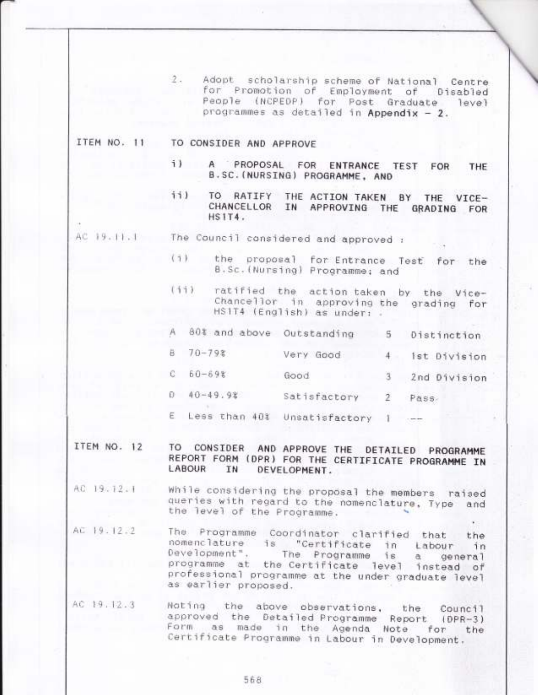2. Adopt scholarship scheme of National Centre for Promotion of Employment of Disabled People (NCPEDP) for Post Graduate level programmes as detailed in Appendix - 2.

# ITEM NO. 11 TO CONSIDER AND APPROVE

- 1) A PROPOSAL FOR ENTRANCE TEST FOR THE B.SC. (NURSING) PROGRAMME, AND
- ii) TO RATIFY THE ACTION TAKEN BY THE VICE-CHANCELLOR IN APPROVING THE GRADING FOR  $HSTT4.$
- AC 19.11.1 The Council considered and approved :
	- $(7)$ the proposal for Entrance Test for the B.Sc. (Nursing) Programme: and
	- $(11)$ ratified the action taken by the Vice-Chancellor in approving the grading for HS1T4 (English) as under: .
	- A 80% and above Outstanding 5 Distinction
	- $70 798$ 8 Very Good 4 1st Division
	- $C = 60 698$ Good 3 2nd Division
	- 0 40-49.9% Satisfactory 2 Pass
	- E Less than 40% Unsatisfactory 1
- TO CONSIDER AND APPROVE THE DETAILED PROGRAMME ITEM NO. 12 REPORT FORM (DPR) FOR THE CERTIFICATE PROGRAMME IN LABOUR IN DEVELOPMENT.
- While considering the proposal the members raised AC 19.12.1 queries with regard to the nomenclature, Type and the level of the Programme.
- AC 19.12.2 The Programme Coordinator clarified that the nomenclature is "Certificate in Labour in Development". The Programme is a general programme at the Certificate level instead of professional programme at the under graduate level as earlier proposed.
- AC 19.12.3 Noting the above observations, the Council approved the Detailed Programme Report (DPR-3) Form as made in the Agenda Note for the Certificate Programme in Labour in Development.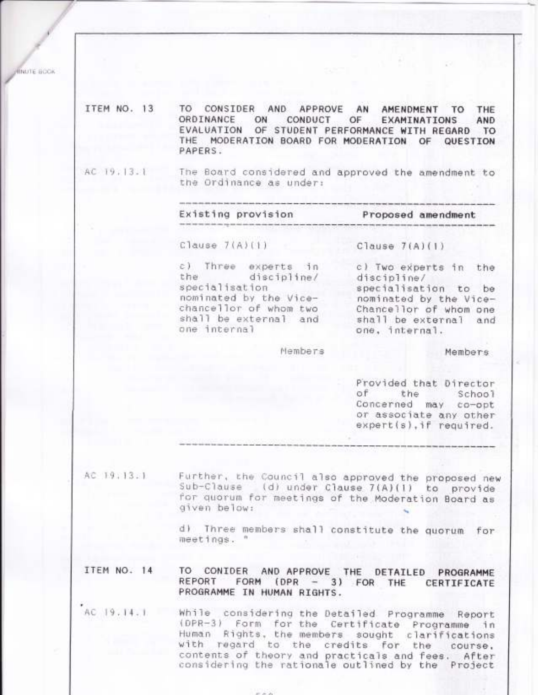**MNUTE BOOK** 

ITEM NO. 13 TO CONSIDER AND APPROVE AN AMENDMENT TO THE ORDINANCE ON CONDUCT OF EXAMINATIONS AND EVALUATION OF STUDENT PERFORMANCE WITH REGARD TO THE MODERATION BOARD FOR MODERATION OF QUESTION PAPERS.

AC 19, 13.1

The Board considered and approved the amendment to the Ordinance as under:

Existing provision

Proposed amendment

Clause 7(A)(1)

c) Three experts in discipline/ the specialisation nominated by the Vicechancellor of whom two shall be external and one internal

Members

Clause  $7(A)(1)$ 

c) Two experts in the discipline/ specialisation to be nominated by the Vice-Chancellor of whom one shall be external and one, internal.

Members

Provided that Director  $of$ the School Concerned may co-opt or associate any other expert(s), if required.

AC 19.13.1

Further, the Council also approved the proposed new Sub-Clause (d) under Clause 7(A)(1) to provide for quorum for meetings of the Moderation Board as given below:

d) Three members shall constitute the quorum for meetings. "

TO CONIDER AND APPROVE THE DETAILED PROGRAMME ITEM NO. 14 FORM (DPR - 3) FOR THE CERTIFICATE REPORT PROGRAMME IN HUMAN RIGHTS.

AC 19.14.1 While considering the Detailed Programme Report (DPR-3) Form for the Certificate Programme in Human Rights, the members sought clarifications<br>with regard to the credits for the course, contents of theory and practicals and fees. After considering the rationale outlined by the Project